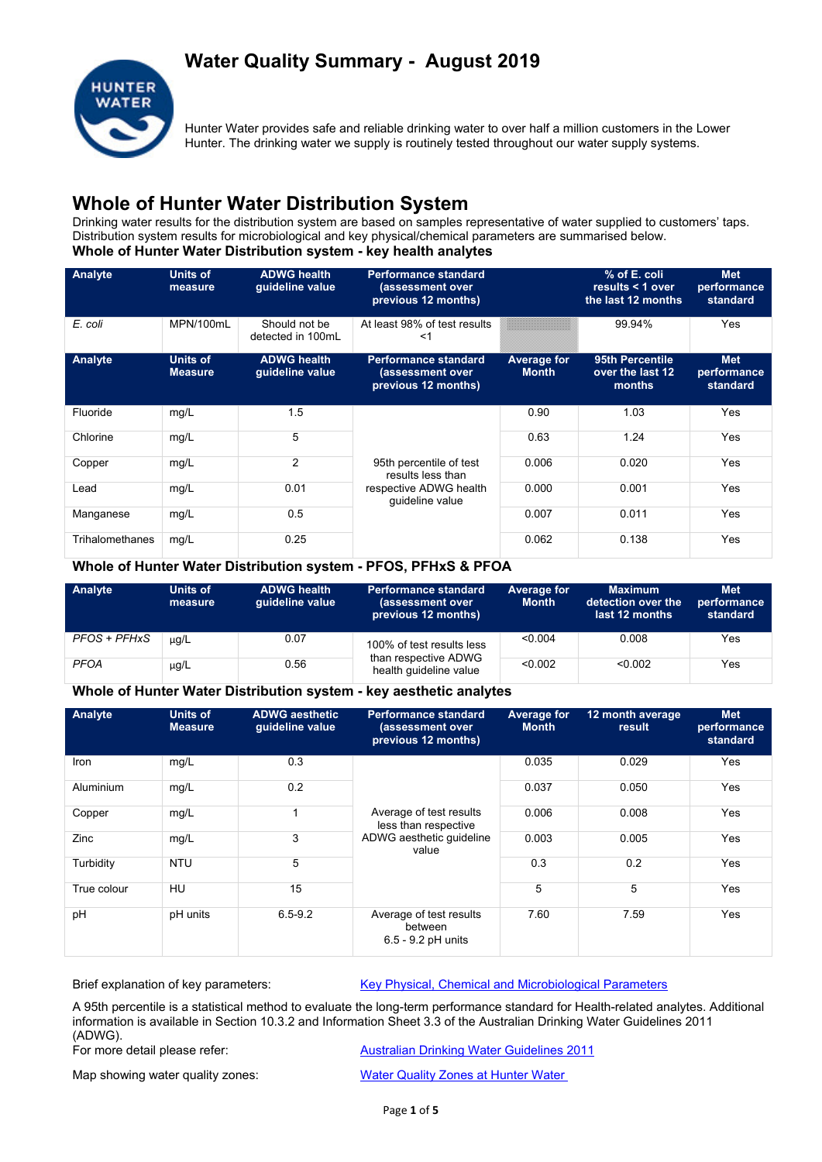## **Water Quality Summary - August 2019**



Hunter Water provides safe and reliable drinking water to over half a million customers in the Lower Hunter. The drinking water we supply is routinely tested throughout our water supply systems.

## **Whole of Hunter Water Distribution System**

Drinking water results for the distribution system are based on samples representative of water supplied to customers' taps. Distribution system results for microbiological and key physical/chemical parameters are summarised below. **Whole of Hunter Water Distribution system - key health analytes**

| Analyte         | Units of<br>measure               | <b>ADWG health</b><br>quideline value | <b>Performance standard</b><br>(assessment over<br>previous 12 months) |                                    | % of E. coli<br>results $\leq 1$ over<br>the last 12 months | <b>Met</b><br>performance<br>standard |
|-----------------|-----------------------------------|---------------------------------------|------------------------------------------------------------------------|------------------------------------|-------------------------------------------------------------|---------------------------------------|
| E. coli         | MPN/100mL                         | Should not be<br>detected in 100mL    | At least 98% of test results<br>≺1                                     |                                    | 99.94%                                                      | Yes                                   |
| Analyte         | <b>Units of</b><br><b>Measure</b> | <b>ADWG health</b><br>guideline value | <b>Performance standard</b><br>(assessment over<br>previous 12 months) | <b>Average for</b><br><b>Month</b> | 95th Percentile<br>over the last 12<br>months               | <b>Met</b><br>performance<br>standard |
| Fluoride        | mg/L                              | 1.5                                   |                                                                        | 0.90                               | 1.03                                                        | Yes                                   |
| Chlorine        | mg/L                              | 5                                     |                                                                        | 0.63                               | 1.24                                                        | Yes                                   |
| Copper          | mg/L                              | $\overline{2}$                        | 95th percentile of test<br>results less than                           | 0.006                              | 0.020                                                       | <b>Yes</b>                            |
| Lead            | mg/L                              | 0.01                                  | respective ADWG health<br>quideline value                              | 0.000                              | 0.001                                                       | Yes                                   |
| Manganese       | mg/L                              | 0.5                                   |                                                                        | 0.007                              | 0.011                                                       | Yes                                   |
| Trihalomethanes | mg/L                              | 0.25                                  |                                                                        | 0.062                              | 0.138                                                       | Yes                                   |

### **Whole of Hunter Water Distribution system - PFOS, PFHxS & PFOA**

| Analyte      | Units of<br>measure | <b>ADWG health</b><br>quideline value | <b>Performance standard</b><br>(assessment over<br>previous 12 months) | Average for<br><b>Month</b> | <b>Maximum</b><br>detection over the<br>last 12 months | <b>Met</b><br>performance<br>standard |
|--------------|---------------------|---------------------------------------|------------------------------------------------------------------------|-----------------------------|--------------------------------------------------------|---------------------------------------|
| PFOS + PFHxS | $\mu q/L$           | 0.07                                  | 100% of test results less                                              | < 0.004                     | 0.008                                                  | Yes                                   |
| <b>PFOA</b>  | $\mu$ g/L           | 0.56                                  | than respective ADWG<br>health quideline value                         | < 0.002                     | < 0.002                                                | Yes                                   |

#### **Whole of Hunter Water Distribution system - key aesthetic analytes**

| Analyte     | <b>Units of</b><br><b>Measure</b> | <b>ADWG aesthetic</b><br>guideline value | <b>Performance standard</b><br>(assessment over<br>previous 12 months)               | <b>Average for</b><br><b>Month</b> | 12 month average<br>result | <b>Met</b><br>performance<br>standard |
|-------------|-----------------------------------|------------------------------------------|--------------------------------------------------------------------------------------|------------------------------------|----------------------------|---------------------------------------|
| <b>Iron</b> | mg/L                              | 0.3                                      | Average of test results<br>less than respective<br>ADWG aesthetic quideline<br>value | 0.035                              | 0.029                      | Yes                                   |
| Aluminium   | mg/L                              | 0.2                                      |                                                                                      | 0.037                              | 0.050                      | Yes                                   |
| Copper      | mg/L                              | 1                                        |                                                                                      | 0.006                              | 0.008                      | Yes                                   |
| Zinc        | mg/L                              | 3                                        |                                                                                      | 0.003                              | 0.005                      | Yes                                   |
| Turbidity   | <b>NTU</b>                        | 5                                        |                                                                                      | 0.3                                | 0.2                        | Yes                                   |
| True colour | HU                                | 15                                       |                                                                                      | 5                                  | 5                          | Yes                                   |
| pH          | pH units                          | $6.5 - 9.2$                              | Average of test results<br>between<br>$6.5 - 9.2$ pH units                           | 7.60                               | 7.59                       | Yes                                   |

Brief explanation of key parameters: Key Physical, Chemical and Microbiological Parameters

A 95th percentile is a statistical method to evaluate the long-term performance standard for Health-related analytes. Additional information is available in Section 10.3.2 and Information Sheet 3.3 of the Australian Drinking Water Guidelines 2011 (ADWG).<br>For more detail please refer:

**Australian Drinking Water Guidelines 2011** 

Map showing water quality zones: Water Quality Zones at Hunter Water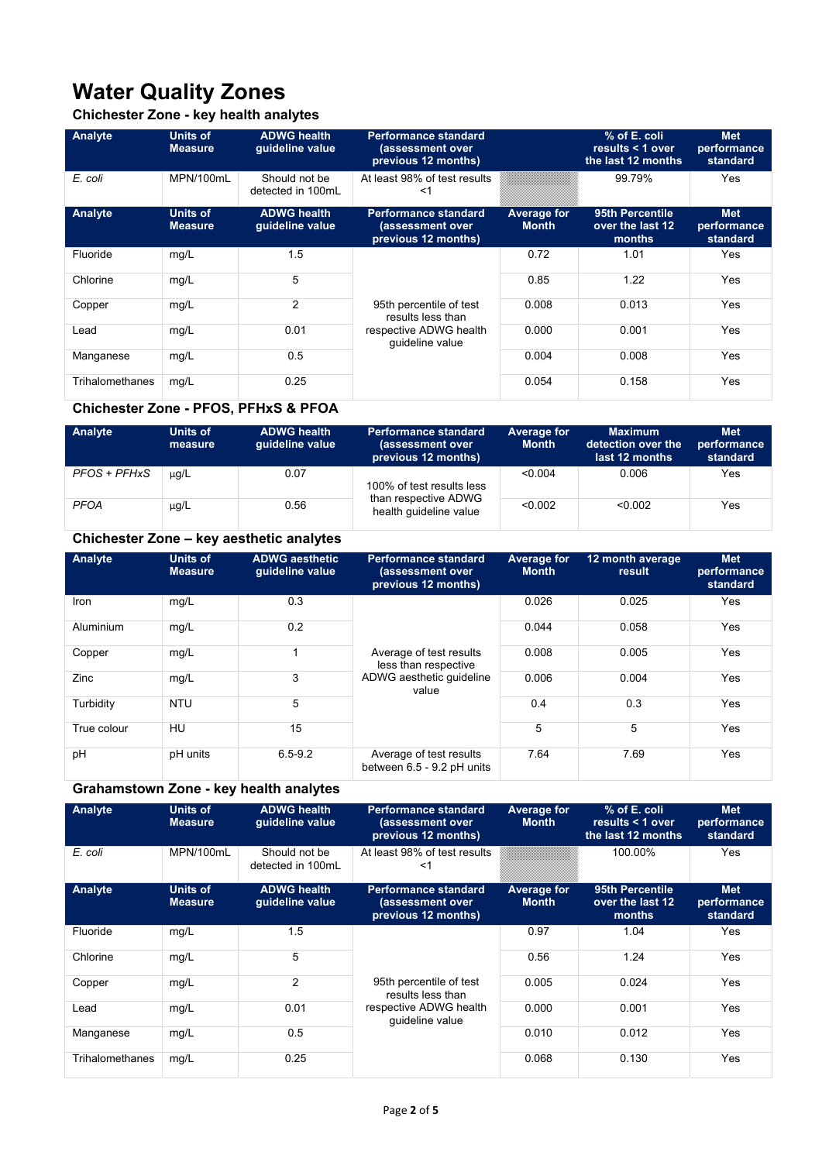# **Water Quality Zones**

## **Chichester Zone - key health analytes**

| Analyte         | <b>Units of</b><br><b>Measure</b> | <b>ADWG health</b><br>quideline value | Performance standard<br>(assessment over<br>previous 12 months) |                             | % of E. coli<br>results $<$ 1 over<br>the last 12 months | <b>Met</b><br>performance<br>standard |
|-----------------|-----------------------------------|---------------------------------------|-----------------------------------------------------------------|-----------------------------|----------------------------------------------------------|---------------------------------------|
| E. coli         | MPN/100mL                         | Should not be<br>detected in 100mL    | At least 98% of test results<br><1                              |                             | 99.79%                                                   | Yes                                   |
| Analyte         | <b>Units of</b><br><b>Measure</b> | <b>ADWG health</b><br>quideline value | Performance standard<br>(assessment over<br>previous 12 months) | Average for<br><b>Month</b> | 95th Percentile<br>over the last 12<br>months            | <b>Met</b><br>performance<br>standard |
| Fluoride        | mg/L                              | 1.5                                   |                                                                 | 0.72                        | 1.01                                                     | Yes                                   |
| Chlorine        | mg/L                              | 5                                     |                                                                 | 0.85                        | 1.22                                                     | Yes                                   |
| Copper          | mg/L                              | $\overline{2}$                        | 95th percentile of test<br>results less than                    | 0.008                       | 0.013                                                    | Yes                                   |
| Lead            | mg/L                              | 0.01                                  | respective ADWG health<br>quideline value                       | 0.000                       | 0.001                                                    | Yes                                   |
| Manganese       | mg/L                              | 0.5                                   |                                                                 | 0.004                       | 0.008                                                    | Yes                                   |
| Trihalomethanes | mg/L                              | 0.25                                  |                                                                 | 0.054                       | 0.158                                                    | Yes                                   |

### **Chichester Zone - PFOS, PFHxS & PFOA**

| Analyte      | Units of<br>measure | <b>ADWG health</b><br>guideline value | <b>Performance standard</b><br>(assessment over<br>previous 12 months) | Average for<br><b>Month</b> | <b>Maximum</b><br>detection over the <b>dete</b><br>last 12 months | <b>Met</b><br>performance<br>standard |
|--------------|---------------------|---------------------------------------|------------------------------------------------------------------------|-----------------------------|--------------------------------------------------------------------|---------------------------------------|
| PFOS + PFHxS | $\mu q/L$           | 0.07                                  | 100% of test results less                                              | < 0.004                     | 0.006                                                              | Yes                                   |
| <b>PFOA</b>  | $\mu$ g/L           | 0.56                                  | than respective ADWG<br>health quideline value                         | < 0.002                     | < 0.002                                                            | Yes                                   |

## **Chichester Zone – key aesthetic analytes**

| Analyte     | <b>Units of</b><br><b>Measure</b> | <b>ADWG aesthetic</b><br>quideline value | <b>Performance standard</b><br>(assessment over<br>previous 12 months) | <b>Average for</b><br><b>Month</b> | 12 month average<br>result | <b>Met</b><br>performance<br>standard |
|-------------|-----------------------------------|------------------------------------------|------------------------------------------------------------------------|------------------------------------|----------------------------|---------------------------------------|
| Iron        | mg/L                              | 0.3                                      | Average of test results<br>less than respective                        | 0.026                              | 0.025                      | Yes                                   |
| Aluminium   | mg/L                              | 0.2                                      |                                                                        | 0.044                              | 0.058                      | Yes                                   |
| Copper      | mg/L                              |                                          |                                                                        | 0.008                              | 0.005                      | Yes                                   |
| Zinc        | mg/L                              | 3                                        | ADWG aesthetic quideline<br>value                                      | 0.006                              | 0.004                      | Yes                                   |
| Turbidity   | <b>NTU</b>                        | 5                                        |                                                                        | 0.4                                | 0.3                        | Yes                                   |
| True colour | HU                                | 15                                       |                                                                        | 5                                  | 5                          | Yes                                   |
| pH          | pH units                          | $6.5 - 9.2$                              | Average of test results<br>between 6.5 - 9.2 pH units                  | 7.64                               | 7.69                       | Yes                                   |

## **Grahamstown Zone - key health analytes**

| Analyte         | Units of<br><b>Measure</b>        | <b>ADWG health</b><br>guideline value | <b>Performance standard</b><br>(assessment over<br>previous 12 months) | Average for<br><b>Month</b>        | % of E. coli<br>results $<$ 1 over<br>the last 12 months | <b>Met</b><br>performance<br>standard |
|-----------------|-----------------------------------|---------------------------------------|------------------------------------------------------------------------|------------------------------------|----------------------------------------------------------|---------------------------------------|
| E. coli         | MPN/100mL                         | Should not be<br>detected in 100mL    | At least 98% of test results<br><1                                     |                                    | 100.00%                                                  | Yes                                   |
| Analyte         | <b>Units of</b><br><b>Measure</b> | <b>ADWG health</b><br>quideline value | <b>Performance standard</b><br>(assessment over<br>previous 12 months) | <b>Average for</b><br><b>Month</b> | 95th Percentile<br>over the last 12<br>months            | <b>Met</b><br>performance<br>standard |
| Fluoride        | mg/L                              | 1.5                                   |                                                                        | 0.97                               | 1.04                                                     | Yes                                   |
| Chlorine        | mg/L                              | 5                                     |                                                                        | 0.56                               | 1.24                                                     | Yes                                   |
| Copper          | mg/L                              | $\overline{2}$                        | 95th percentile of test<br>results less than                           | 0.005                              | 0.024                                                    | Yes                                   |
| Lead            | mg/L                              | 0.01                                  | respective ADWG health<br>guideline value                              | 0.000                              | 0.001                                                    | Yes                                   |
| Manganese       | mg/L                              | 0.5                                   |                                                                        | 0.010                              | 0.012                                                    | Yes                                   |
| Trihalomethanes | mg/L                              | 0.25                                  |                                                                        | 0.068                              | 0.130                                                    | Yes                                   |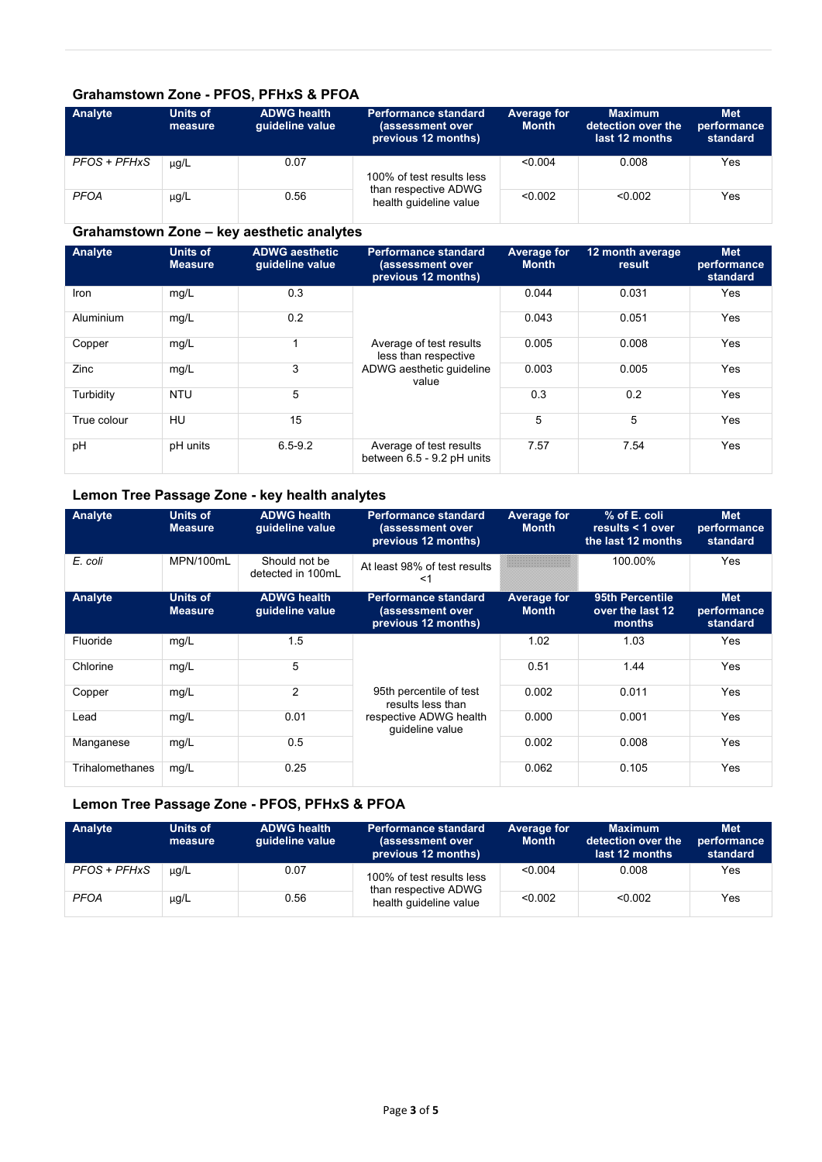### **Grahamstown Zone - PFOS, PFHxS & PFOA**

| Analyte      | Units of<br>measure | <b>ADWG health</b><br>quideline value | <b>Performance standard</b><br>(assessment over<br>previous 12 months) | Average for<br><b>Month</b> | <b>Maximum</b><br>detection over the<br>last 12 months | <b>Met</b><br>performance<br>standard |
|--------------|---------------------|---------------------------------------|------------------------------------------------------------------------|-----------------------------|--------------------------------------------------------|---------------------------------------|
| PFOS + PFHxS | µg/L                | 0.07                                  | 100% of test results less                                              | < 0.004                     | 0.008                                                  | Yes                                   |
| <b>PFOA</b>  | $\mu$ g/L           | 0.56                                  | than respective ADWG<br>health guideline value                         | < 0.002                     | < 0.002                                                | Yes                                   |

## **Grahamstown Zone – key aesthetic analytes**

| Analyte     | <b>Units of</b><br><b>Measure</b> | <b>ADWG aesthetic</b><br>quideline value | <b>Performance standard</b><br>(assessment over<br>previous 12 months)               | <b>Average for</b><br><b>Month</b> | 12 month average<br>result | <b>Met</b><br>performance<br>standard |
|-------------|-----------------------------------|------------------------------------------|--------------------------------------------------------------------------------------|------------------------------------|----------------------------|---------------------------------------|
| Iron        | mg/L                              | 0.3                                      | Average of test results<br>less than respective<br>ADWG aesthetic guideline<br>value | 0.044                              | 0.031                      | Yes                                   |
| Aluminium   | mg/L                              | 0.2                                      |                                                                                      | 0.043                              | 0.051                      | Yes                                   |
| Copper      | mg/L                              |                                          |                                                                                      | 0.005                              | 0.008                      | Yes                                   |
| Zinc        | mg/L                              | 3                                        |                                                                                      | 0.003                              | 0.005                      | Yes                                   |
| Turbidity   | <b>NTU</b>                        | 5                                        |                                                                                      | 0.3                                | 0.2                        | Yes                                   |
| True colour | HU                                | 15                                       |                                                                                      | 5                                  | 5                          | Yes                                   |
| pH          | pH units                          | $6.5 - 9.2$                              | Average of test results<br>between 6.5 - 9.2 pH units                                | 7.57                               | 7.54                       | Yes                                   |

#### **Lemon Tree Passage Zone - key health analytes**

| Analyte         | <b>Units of</b><br><b>Measure</b> | <b>ADWG health</b><br>quideline value | <b>Performance standard</b><br>(assessment over<br>previous 12 months) | <b>Average for</b><br><b>Month</b> | % of E. coli<br>results $<$ 1 over<br>the last 12 months | <b>Met</b><br>performance<br>standard |
|-----------------|-----------------------------------|---------------------------------------|------------------------------------------------------------------------|------------------------------------|----------------------------------------------------------|---------------------------------------|
| E. coli         | MPN/100mL                         | Should not be<br>detected in 100mL    | At least 98% of test results<br><1                                     |                                    | 100.00%                                                  | Yes                                   |
| Analyte         | <b>Units of</b><br><b>Measure</b> | <b>ADWG health</b><br>guideline value | <b>Performance standard</b><br>(assessment over<br>previous 12 months) | <b>Average for</b><br><b>Month</b> | 95th Percentile<br>over the last 12<br>months            | <b>Met</b><br>performance<br>standard |
| Fluoride        | mg/L                              | 1.5                                   |                                                                        | 1.02                               | 1.03                                                     | Yes                                   |
| Chlorine        | mg/L                              | 5                                     |                                                                        | 0.51                               | 1.44                                                     | Yes                                   |
| Copper          | mg/L                              | $\overline{2}$                        | 95th percentile of test<br>results less than                           | 0.002                              | 0.011                                                    | Yes                                   |
| Lead            | mg/L                              | 0.01                                  | respective ADWG health<br>quideline value                              | 0.000                              | 0.001                                                    | Yes                                   |
| Manganese       | mg/L                              | 0.5                                   |                                                                        | 0.002                              | 0.008                                                    | Yes                                   |
| Trihalomethanes | mg/L                              | 0.25                                  |                                                                        | 0.062                              | 0.105                                                    | Yes                                   |

### **Lemon Tree Passage Zone - PFOS, PFHxS & PFOA**

| Analyte      | Units of<br>measure | <b>ADWG health</b><br>quideline value | <b>Performance standard</b><br>(assessment over<br>previous 12 months) | Average for<br><b>Month</b> | <b>Maximum</b><br>detection over the<br>last 12 months | <b>Met</b><br>performance<br>standard |
|--------------|---------------------|---------------------------------------|------------------------------------------------------------------------|-----------------------------|--------------------------------------------------------|---------------------------------------|
| PFOS + PFHxS | $\mu$ g/L           | 0.07                                  | 100% of test results less                                              | < 0.004                     | 0.008                                                  | Yes                                   |
| <b>PFOA</b>  | $\mu$ g/L           | 0.56                                  | than respective ADWG<br>health quideline value                         | < 0.002                     | < 0.002                                                | Yes                                   |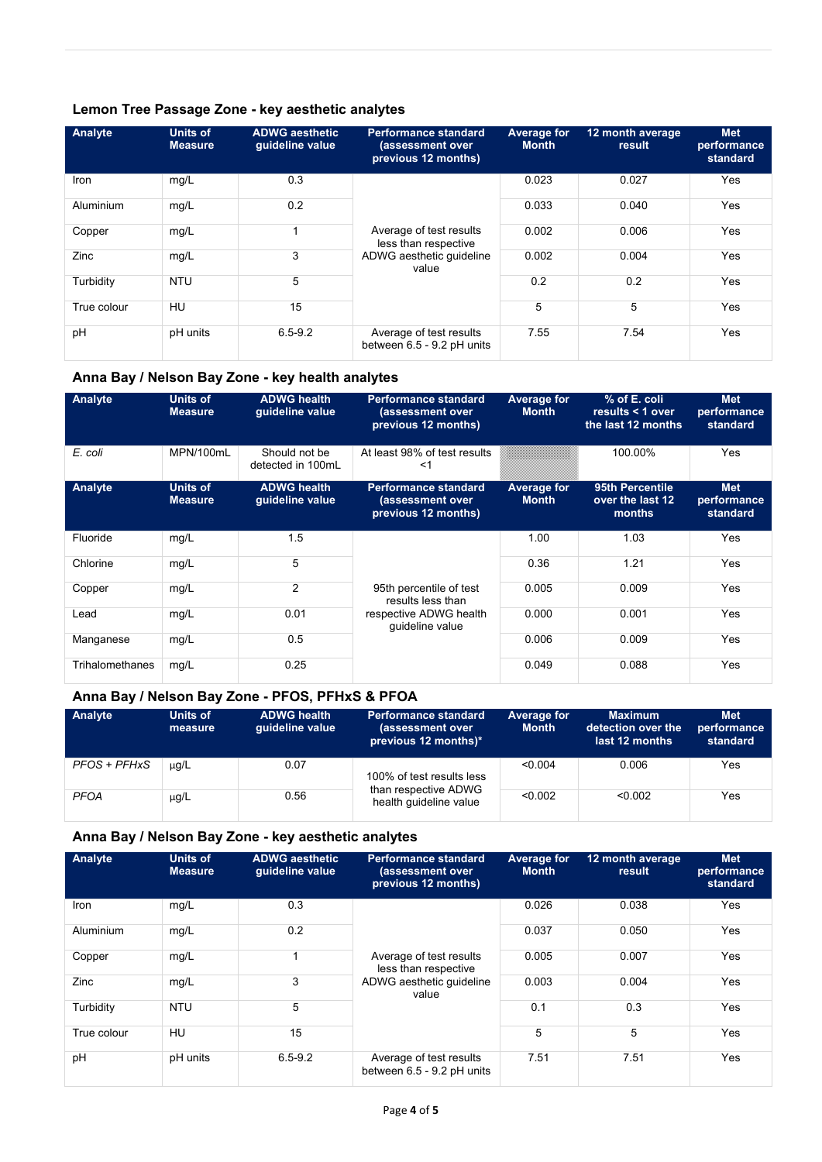### **Lemon Tree Passage Zone - key aesthetic analytes**

| Analyte     | Units of<br><b>Measure</b> | <b>ADWG aesthetic</b><br>quideline value | <b>Performance standard</b><br>(assessment over<br>previous 12 months) | Average for<br><b>Month</b> | 12 month average<br>result | <b>Met</b><br>performance<br>standard |
|-------------|----------------------------|------------------------------------------|------------------------------------------------------------------------|-----------------------------|----------------------------|---------------------------------------|
| Iron        | mg/L                       | 0.3                                      | Average of test results<br>less than respective                        | 0.023                       | 0.027                      | Yes                                   |
| Aluminium   | mg/L                       | 0.2                                      |                                                                        | 0.033                       | 0.040                      | Yes                                   |
| Copper      | mg/L                       |                                          |                                                                        | 0.002                       | 0.006                      | Yes                                   |
| Zinc        | mg/L                       | 3                                        | ADWG aesthetic quideline<br>value                                      | 0.002                       | 0.004                      | Yes                                   |
| Turbidity   | <b>NTU</b>                 | 5                                        |                                                                        | 0.2                         | 0.2                        | Yes                                   |
| True colour | HU                         | 15                                       |                                                                        | 5                           | 5                          | Yes                                   |
| pH          | pH units                   | $6.5 - 9.2$                              | Average of test results<br>between 6.5 - 9.2 pH units                  | 7.55                        | 7.54                       | Yes                                   |

### **Anna Bay / Nelson Bay Zone - key health analytes**

| Analyte                | Units of<br><b>Measure</b>        | <b>ADWG health</b><br>quideline value | <b>Performance standard</b><br>(assessment over<br>previous 12 months) | <b>Average for</b><br><b>Month</b>                                                  | % of E. coli<br>results $<$ 1 over<br>the last 12 months | Met<br>performance<br>standard        |  |
|------------------------|-----------------------------------|---------------------------------------|------------------------------------------------------------------------|-------------------------------------------------------------------------------------|----------------------------------------------------------|---------------------------------------|--|
| E. coli                | MPN/100mL                         | Should not be<br>detected in 100mL    | At least 98% of test results<br><1                                     |                                                                                     | 100.00%                                                  | Yes                                   |  |
| Analyte                | <b>Units of</b><br><b>Measure</b> | <b>ADWG</b> health<br>guideline value | <b>Performance standard</b><br>(assessment over<br>previous 12 months) | 95th Percentile<br><b>Average for</b><br>over the last 12<br><b>Month</b><br>months |                                                          | <b>Met</b><br>performance<br>standard |  |
| Fluoride               | mg/L                              | 1.5                                   |                                                                        | 1.00                                                                                | 1.03                                                     | Yes                                   |  |
| Chlorine               | mg/L                              | 5                                     |                                                                        | 0.36                                                                                | 1.21                                                     | <b>Yes</b>                            |  |
| Copper                 | mg/L                              | $\overline{2}$                        | 95th percentile of test<br>results less than                           | 0.005                                                                               | 0.009                                                    | Yes                                   |  |
| Lead                   | mg/L                              | 0.01                                  | respective ADWG health<br>guideline value                              | 0.000                                                                               | 0.001                                                    | Yes                                   |  |
| Manganese              | mg/L                              | 0.5                                   |                                                                        | 0.006                                                                               | 0.009                                                    | Yes                                   |  |
| <b>Trihalomethanes</b> | mg/L                              | 0.25                                  |                                                                        | 0.049                                                                               | 0.088                                                    | Yes                                   |  |

### **Anna Bay / Nelson Bay Zone - PFOS, PFHxS & PFOA**

| Analyte      | Units of<br>measure | <b>ADWG health</b><br>quideline value | <b>Performance standard</b><br>(assessment over<br>previous 12 months)* | Average for<br><b>Month</b> | <b>Maximum</b><br>detection over the<br>last 12 months | <b>Met</b><br>performance<br>standard |  |
|--------------|---------------------|---------------------------------------|-------------------------------------------------------------------------|-----------------------------|--------------------------------------------------------|---------------------------------------|--|
| PFOS + PFHxS | $\mu$ g/L           | 0.07                                  | 100% of test results less                                               | < 0.004                     | 0.006                                                  | Yes                                   |  |
| <b>PFOA</b>  | $\mu$ g/L           | 0.56                                  | than respective ADWG<br>health quideline value                          | < 0.002                     | < 0.002                                                | Yes                                   |  |

#### **Anna Bay / Nelson Bay Zone - key aesthetic analytes**

| Analyte     | <b>Units of</b><br><b>Measure</b> | <b>ADWG aesthetic</b><br>quideline value | <b>Performance standard</b><br>(assessment over<br>previous 12 months) | <b>Average for</b><br><b>Month</b> | 12 month average<br>result | <b>Met</b><br>performance<br>standard |
|-------------|-----------------------------------|------------------------------------------|------------------------------------------------------------------------|------------------------------------|----------------------------|---------------------------------------|
| Iron        | mg/L                              | 0.3                                      |                                                                        | 0.026                              | 0.038                      | Yes                                   |
| Aluminium   | mg/L                              | 0.2                                      |                                                                        | 0.037                              | 0.050                      | Yes                                   |
| Copper      | mg/L                              |                                          | Average of test results<br>less than respective                        | 0.005                              | 0.007                      | Yes                                   |
| Zinc        | mg/L                              | 3                                        | ADWG aesthetic guideline<br>value                                      | 0.003                              | 0.004                      | Yes                                   |
| Turbidity   | <b>NTU</b>                        | 5                                        |                                                                        | 0.1                                | 0.3                        | Yes                                   |
| True colour | HU                                | 15                                       |                                                                        | 5                                  | 5                          | Yes                                   |
| pH          | pH units                          | $6.5 - 9.2$                              | Average of test results<br>between 6.5 - 9.2 pH units                  | 7.51                               | 7.51                       | <b>Yes</b>                            |